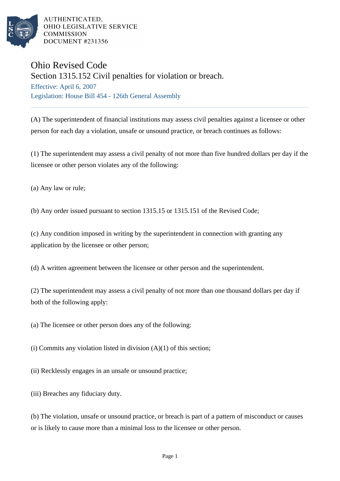

AUTHENTICATED. OHIO LEGISLATIVE SERVICE **COMMISSION DOCUMENT #231356** 

## Ohio Revised Code

Section 1315.152 Civil penalties for violation or breach.

Effective: April 6, 2007 Legislation: House Bill 454 - 126th General Assembly

(A) The superintendent of financial institutions may assess civil penalties against a licensee or other person for each day a violation, unsafe or unsound practice, or breach continues as follows:

(1) The superintendent may assess a civil penalty of not more than five hundred dollars per day if the licensee or other person violates any of the following:

(a) Any law or rule;

(b) Any order issued pursuant to section 1315.15 or 1315.151 of the Revised Code;

(c) Any condition imposed in writing by the superintendent in connection with granting any application by the licensee or other person;

(d) A written agreement between the licensee or other person and the superintendent.

(2) The superintendent may assess a civil penalty of not more than one thousand dollars per day if both of the following apply:

(a) The licensee or other person does any of the following:

(i) Commits any violation listed in division  $(A)(1)$  of this section;

(ii) Recklessly engages in an unsafe or unsound practice;

(iii) Breaches any fiduciary duty.

(b) The violation, unsafe or unsound practice, or breach is part of a pattern of misconduct or causes or is likely to cause more than a minimal loss to the licensee or other person.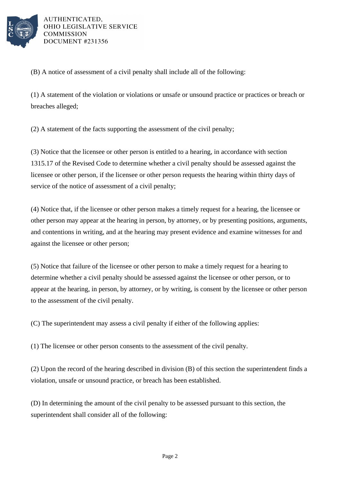

AUTHENTICATED. OHIO LEGISLATIVE SERVICE **COMMISSION DOCUMENT #231356** 

(B) A notice of assessment of a civil penalty shall include all of the following:

(1) A statement of the violation or violations or unsafe or unsound practice or practices or breach or breaches alleged;

(2) A statement of the facts supporting the assessment of the civil penalty;

(3) Notice that the licensee or other person is entitled to a hearing, in accordance with section 1315.17 of the Revised Code to determine whether a civil penalty should be assessed against the licensee or other person, if the licensee or other person requests the hearing within thirty days of service of the notice of assessment of a civil penalty;

(4) Notice that, if the licensee or other person makes a timely request for a hearing, the licensee or other person may appear at the hearing in person, by attorney, or by presenting positions, arguments, and contentions in writing, and at the hearing may present evidence and examine witnesses for and against the licensee or other person;

(5) Notice that failure of the licensee or other person to make a timely request for a hearing to determine whether a civil penalty should be assessed against the licensee or other person, or to appear at the hearing, in person, by attorney, or by writing, is consent by the licensee or other person to the assessment of the civil penalty.

(C) The superintendent may assess a civil penalty if either of the following applies:

(1) The licensee or other person consents to the assessment of the civil penalty.

(2) Upon the record of the hearing described in division (B) of this section the superintendent finds a violation, unsafe or unsound practice, or breach has been established.

(D) In determining the amount of the civil penalty to be assessed pursuant to this section, the superintendent shall consider all of the following: